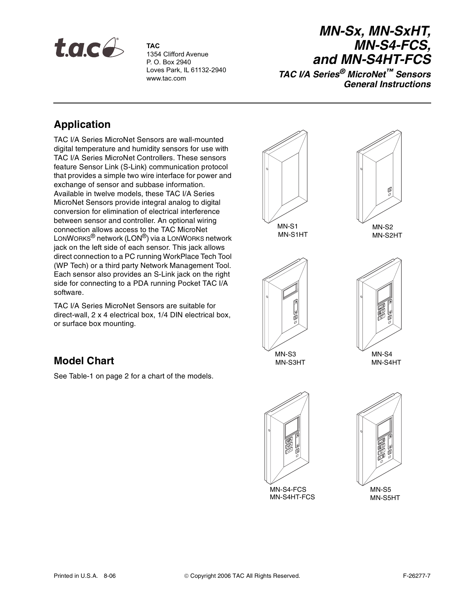

**TAC** 1354 Clifford Avenue P. O. Box 2940 Loves Park, IL 61132-2940 www.tac.com

# **MN-Sx, MN-SxHT, MN-S4-FCS, and MN-S4HT-FCS**

**TAC I/A Series® MicroNet™ Sensors General Instructions**

# **Application**

TAC I/A Series MicroNet Sensors are wall-mounted digital temperature and humidity sensors for use with TAC I/A Series MicroNet Controllers. These sensors feature Sensor Link (S-Link) communication protocol that provides a simple two wire interface for power and exchange of sensor and subbase information. Available in twelve models, these TAC I/A Series MicroNet Sensors provide integral analog to digital conversion for elimination of electrical interference between sensor and controller. An optional wiring connection allows access to the TAC MicroNet LONWORKS® network (LON®) via a LONWORKS network jack on the left side of each sensor. This jack allows direct connection to a PC running WorkPlace Tech Tool (WP Tech) or a third party Network Management Tool. Each sensor also provides an S-Link jack on the right side for connecting to a PDA running Pocket TAC I/A software.

TAC I/A Series MicroNet Sensors are suitable for direct-wall, 2 x 4 electrical box, 1/4 DIN electrical box, or surface box mounting.

# **Model Chart**

See Table-1 on page 2 for a chart of the models.

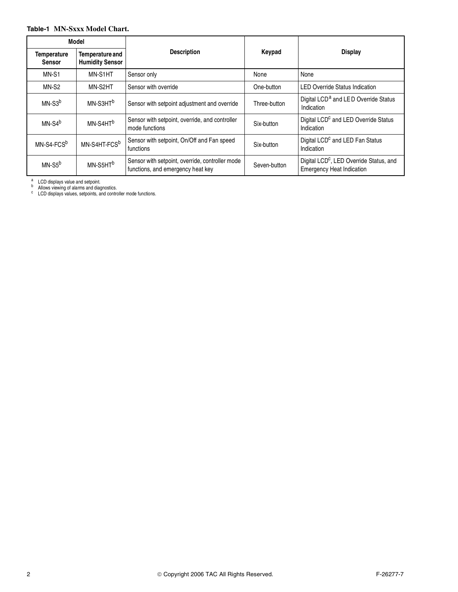### **Table-1 MN-Sxxx Model Chart.**

|                                     | Model                                     |                                                                                      |              | <b>Display</b>                                                                          |  |
|-------------------------------------|-------------------------------------------|--------------------------------------------------------------------------------------|--------------|-----------------------------------------------------------------------------------------|--|
| <b>Temperature</b><br><b>Sensor</b> | Temperature and<br><b>Humidity Sensor</b> | <b>Description</b>                                                                   | Keypad       |                                                                                         |  |
| MN-S1                               | MN-S1HT                                   | Sensor only                                                                          | None         | None                                                                                    |  |
| MN-S <sub>2</sub>                   | MN-S2HT                                   | Sensor with override                                                                 | One-button   | <b>LED Override Status Indication</b>                                                   |  |
| $MN-S3b$                            | MN-S3HT <sup>b</sup>                      | Sensor with setpoint adjustment and override                                         | Three-button | Digital LCD <sup>a</sup> and LED Override Status<br>Indication                          |  |
| $MN-S4^b$                           | MN-S4HT <sup>b</sup>                      | Sensor with setpoint, override, and controller<br>mode functions                     | Six-button   | Digital LCD <sup>c</sup> and LED Override Status<br>Indication                          |  |
| MN-S4-FCS <sup>b</sup>              | MN-S4HT-FCS <sup>b</sup>                  | Sensor with setpoint, On/Off and Fan speed<br>functions                              | Six-button   | Digital LCD <sup>c</sup> and LED Fan Status<br>Indication                               |  |
| MN-S5 <sup>b</sup>                  | MN-S5HT <sup>b</sup>                      | Sensor with setpoint, override, controller mode<br>functions, and emergency heat key | Seven-button | Digital LCD <sup>c</sup> , LED Override Status, and<br><b>Emergency Heat Indication</b> |  |

a LCD displays value and setpoint.<br><sup>b</sup> Allows viewing of alarms and diagnostics.<br><sup>c</sup> LCD displays values, setpoints, and controller mode functions.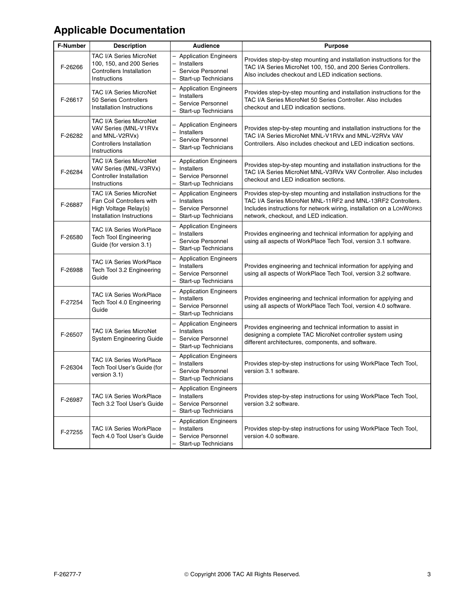# **Applicable Documentation**

| <b>F-Number</b> | <b>Description</b>                                                                                                    | <b>Audience</b>                                                                                     | <b>Purpose</b>                                                                                                                                                                                                                                         |
|-----------------|-----------------------------------------------------------------------------------------------------------------------|-----------------------------------------------------------------------------------------------------|--------------------------------------------------------------------------------------------------------------------------------------------------------------------------------------------------------------------------------------------------------|
| F-26266         | TAC I/A Series MicroNet<br>100, 150, and 200 Series<br><b>Controllers Installation</b><br>Instructions                | <b>Application Engineers</b><br>Installers<br>Service Personnel<br>Start-up Technicians             | Provides step-by-step mounting and installation instructions for the<br>TAC I/A Series MicroNet 100, 150, and 200 Series Controllers.<br>Also includes checkout and LED indication sections.                                                           |
| F-26617         | TAC I/A Series MicroNet<br>50 Series Controllers<br>Installation Instructions                                         | <b>Application Engineers</b><br>Installers<br>Service Personnel<br>Start-up Technicians             | Provides step-by-step mounting and installation instructions for the<br>TAC I/A Series MicroNet 50 Series Controller. Also includes<br>checkout and LED indication sections.                                                                           |
| F-26282         | TAC I/A Series MicroNet<br>VAV Series (MNL-V1RVx<br>and MNL-V2RVx)<br><b>Controllers Installation</b><br>Instructions | <b>Application Engineers</b><br>- Installers<br>Service Personnel<br>Start-up Technicians           | Provides step-by-step mounting and installation instructions for the<br>TAC I/A Series MicroNet MNL-V1RVx and MNL-V2RVx VAV<br>Controllers. Also includes checkout and LED indication sections.                                                        |
| F-26284         | TAC I/A Series MicroNet<br>VAV Series (MNL-V3RVx)<br><b>Controller Installation</b><br>Instructions                   | <b>Application Engineers</b><br>Installers<br>$\equiv$<br>Service Personnel<br>Start-up Technicians | Provides step-by-step mounting and installation instructions for the<br>TAC I/A Series MicroNet MNL-V3RVx VAV Controller. Also includes<br>checkout and LED indication sections.                                                                       |
| F-26887         | <b>TAC I/A Series MicroNet</b><br>Fan Coil Controllers with<br>High Voltage Relay(s)<br>Installation Instructions     | <b>Application Engineers</b><br>Installers<br>Service Personnel<br>Start-up Technicians             | Provides step-by-step mounting and installation instructions for the<br>TAC I/A Series MicroNet MNL-11RF2 and MNL-13RF2 Controllers.<br>Includes instructions for network wiring, installation on a LONWORKS<br>network, checkout, and LED indication. |
| F-26580         | <b>TAC I/A Series WorkPlace</b><br><b>Tech Tool Engineering</b><br>Guide (for version 3.1)                            | <b>Application Engineers</b><br>Installers<br>Service Personnel<br>Start-up Technicians             | Provides engineering and technical information for applying and<br>using all aspects of WorkPlace Tech Tool, version 3.1 software.                                                                                                                     |
| F-26988         | <b>TAC I/A Series WorkPlace</b><br>Tech Tool 3.2 Engineering<br>Guide                                                 | <b>Application Engineers</b><br>- Installers<br>Service Personnel<br>Start-up Technicians           | Provides engineering and technical information for applying and<br>using all aspects of WorkPlace Tech Tool, version 3.2 software.                                                                                                                     |
| F-27254         | TAC I/A Series WorkPlace<br>Tech Tool 4.0 Engineering<br>Guide                                                        | <b>Application Engineers</b><br>Installers<br>Service Personnel<br>Start-up Technicians             | Provides engineering and technical information for applying and<br>using all aspects of WorkPlace Tech Tool, version 4.0 software.                                                                                                                     |
| F-26507         | <b>TAC I/A Series MicroNet</b><br>System Engineering Guide                                                            | <b>Application Engineers</b><br>Installers<br>Service Personnel<br>Start-up Technicians             | Provides engineering and technical information to assist in<br>designing a complete TAC MicroNet controller system using<br>different architectures, components, and software.                                                                         |
| F-26304         | <b>TAC I/A Series WorkPlace</b><br>Tech Tool User's Guide (for<br>version 3.1)                                        | <b>Application Engineers</b><br>Installers<br>Service Personnel<br>Start-up Technicians             | Provides step-by-step instructions for using WorkPlace Tech Tool,<br>version 3.1 software.                                                                                                                                                             |
| F-26987         | TAC I/A Series WorkPlace<br>Tech 3.2 Tool User's Guide                                                                | <b>Application Engineers</b><br>- Installers<br>Service Personnel<br>Start-up Technicians           | Provides step-by-step instructions for using WorkPlace Tech Tool,<br>version 3.2 software.                                                                                                                                                             |
| F-27255         | TAC I/A Series WorkPlace<br>Tech 4.0 Tool User's Guide                                                                | <b>Application Engineers</b><br>Installers<br>Service Personnel<br>Start-up Technicians             | Provides step-by-step instructions for using WorkPlace Tech Tool,<br>version 4.0 software.                                                                                                                                                             |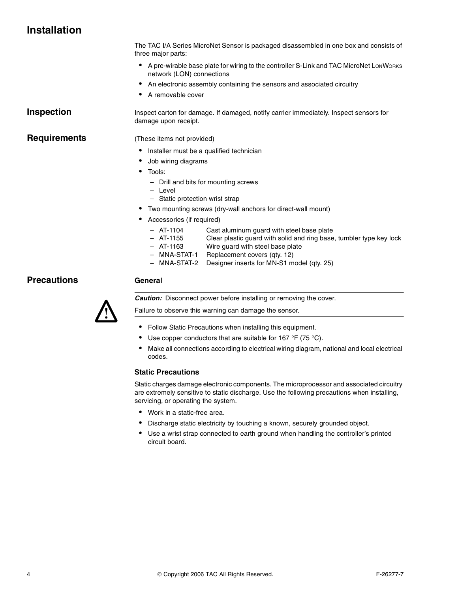# **Installation**

The TAC I/A Series MicroNet Sensor is packaged disassembled in one box and consists of three major parts:

- A pre-wirable base plate for wiring to the controller S-Link and TAC MicroNet LonWorks network (LON) connections
- An electronic assembly containing the sensors and associated circuitry
- A removable cover

damage upon receipt.

**Inspection Inspect** carton for damage. If damaged, notify carrier immediately. Inspect sensors for

**Requirements** (These items not provided)

- Installer must be a qualified technician
- Job wiring diagrams
- Tools:
	- Drill and bits for mounting screws
	- Level
	- Static protection wrist strap
- Two mounting screws (dry-wall anchors for direct-wall mount)
- Accessories (if required)
	- AT-1104 Cast aluminum guard with steel base plate
	- AT-1155 Clear plastic guard with solid and ring base, tumbler type key lock
	- AT-1163 Wire guard with steel base plate
	- MNA-STAT-1 Replacement covers (qty. 12)
	- MNA-STAT-2 Designer inserts for MN-S1 model (qty. 25)

## **Precautions General**



*Caution:* Disconnect power before installing or removing the cover.

Failure to observe this warning can damage the sensor.

- Follow Static Precautions when installing this equipment.
- Use copper conductors that are suitable for 167  $\degree$ F (75  $\degree$ C).
- Make all connections according to electrical wiring diagram, national and local electrical codes.

#### **Static Precautions**

Static charges damage electronic components. The microprocessor and associated circuitry are extremely sensitive to static discharge. Use the following precautions when installing, servicing, or operating the system.

- Work in a static-free area.
- Discharge static electricity by touching a known, securely grounded object.
- Use a wrist strap connected to earth ground when handling the controller's printed circuit board.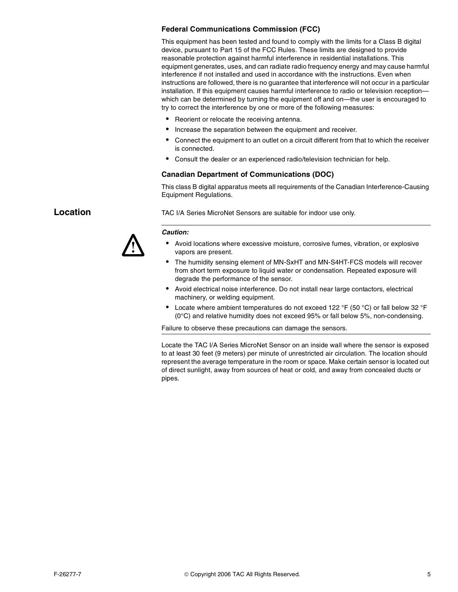### **Federal Communications Commission (FCC)**

This equipment has been tested and found to comply with the limits for a Class B digital device, pursuant to Part 15 of the FCC Rules. These limits are designed to provide reasonable protection against harmful interference in residential installations. This equipment generates, uses, and can radiate radio frequency energy and may cause harmful interference if not installed and used in accordance with the instructions. Even when instructions are followed, there is no guarantee that interference will not occur in a particular installation. If this equipment causes harmful interference to radio or television reception which can be determined by turning the equipment off and on—the user is encouraged to try to correct the interference by one or more of the following measures:

- Reorient or relocate the receiving antenna.
- Increase the separation between the equipment and receiver.
- Connect the equipment to an outlet on a circuit different from that to which the receiver is connected.
- Consult the dealer or an experienced radio/television technician for help.

#### **Canadian Department of Communications (DOC)**

This class B digital apparatus meets all requirements of the Canadian Interference-Causing Equipment Regulations.



**Location** TAC I/A Series MicroNet Sensors are suitable for indoor use only.

#### **Caution:**

- Avoid locations where excessive moisture, corrosive fumes, vibration, or explosive vapors are present.
- The humidity sensing element of MN-SxHT and MN-S4HT-FCS models will recover from short term exposure to liquid water or condensation. Repeated exposure will degrade the performance of the sensor.
- Avoid electrical noise interference. Do not install near large contactors, electrical machinery, or welding equipment.
- Locate where ambient temperatures do not exceed 122 °F (50 °C) or fall below 32 °F (0°C) and relative humidity does not exceed 95% or fall below 5%, non-condensing.

Failure to observe these precautions can damage the sensors.

Locate the TAC I/A Series MicroNet Sensor on an inside wall where the sensor is exposed to at least 30 feet (9 meters) per minute of unrestricted air circulation. The location should represent the average temperature in the room or space. Make certain sensor is located out of direct sunlight, away from sources of heat or cold, and away from concealed ducts or pipes.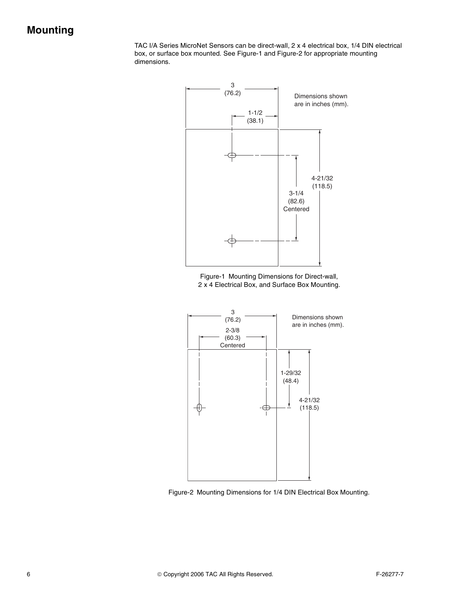# **Mounting**

TAC I/A Series MicroNet Sensors can be direct-wall, 2 x 4 electrical box, 1/4 DIN electrical box, or surface box mounted. See Figure-1 and Figure-2 for appropriate mounting dimensions.



Figure-1 Mounting Dimensions for Direct-wall, 2 x 4 Electrical Box, and Surface Box Mounting.



Figure-2 Mounting Dimensions for 1/4 DIN Electrical Box Mounting.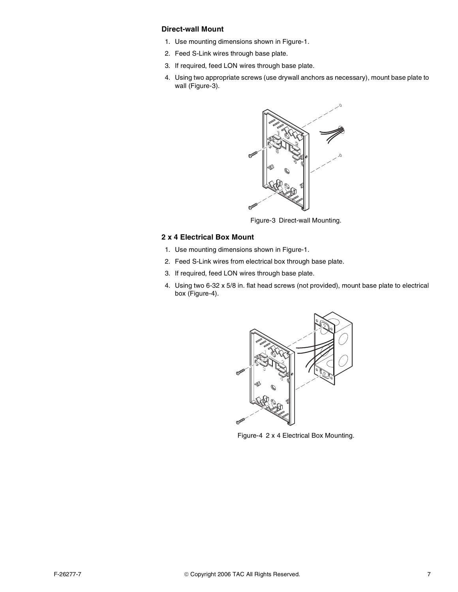### **Direct-wall Mount**

- 1. Use mounting dimensions shown in Figure-1.
- 2. Feed S-Link wires through base plate.
- 3. If required, feed LON wires through base plate.
- 4. Using two appropriate screws (use drywall anchors as necessary), mount base plate to wall (Figure-3).



Figure-3 Direct-wall Mounting.

#### **2 x 4 Electrical Box Mount**

- 1. Use mounting dimensions shown in Figure-1.
- 2. Feed S-Link wires from electrical box through base plate.
- 3. If required, feed LON wires through base plate.
- 4. Using two 6-32 x 5/8 in. flat head screws (not provided), mount base plate to electrical box (Figure-4).



Figure-4 2 x 4 Electrical Box Mounting.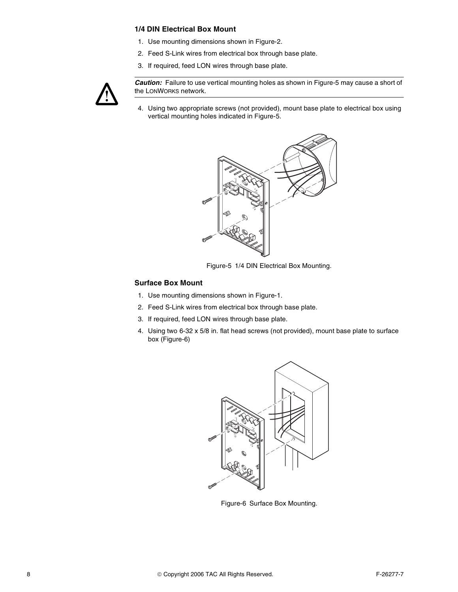#### **1/4 DIN Electrical Box Mount**

- 1. Use mounting dimensions shown in Figure-2.
- 2. Feed S-Link wires from electrical box through base plate.
- 3. If required, feed LON wires through base plate.



**Caution:** Failure to use vertical mounting holes as shown in Figure-5 may cause a short of the LONWORKS network.

4. Using two appropriate screws (not provided), mount base plate to electrical box using vertical mounting holes indicated in Figure-5.



Figure-5 1/4 DIN Electrical Box Mounting.

#### **Surface Box Mount**

- 1. Use mounting dimensions shown in Figure-1.
- 2. Feed S-Link wires from electrical box through base plate.
- 3. If required, feed LON wires through base plate.
- 4. Using two 6-32 x 5/8 in. flat head screws (not provided), mount base plate to surface box (Figure-6)



Figure-6 Surface Box Mounting.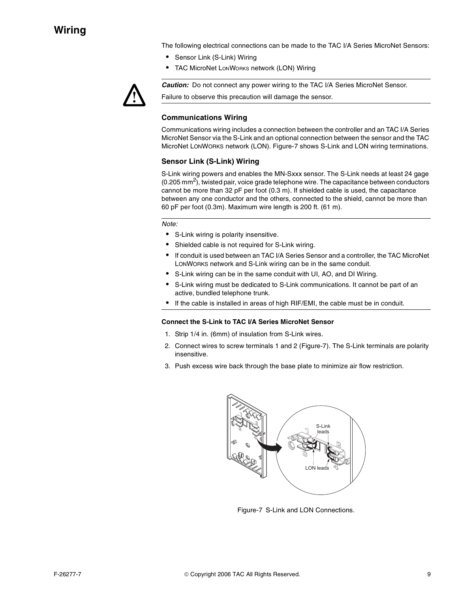The following electrical connections can be made to the TAC I/A Series MicroNet Sensors:

- Sensor Link (S-Link) Wiring
- TAC MicroNet LonWorks network (LON) Wiring



**Caution:** Do not connect any power wiring to the TAC I/A Series MicroNet Sensor.

Failure to observe this precaution will damage the sensor.

#### **Communications Wiring**

Communications wiring includes a connection between the controller and an TAC I/A Series MicroNet Sensor via the S-Link and an optional connection between the sensor and the TAC MicroNet LONWORKS network (LON). Figure-7 shows S-Link and LON wiring terminations.

#### **Sensor Link (S-Link) Wiring**

S-Link wiring powers and enables the MN-Sxxx sensor. The S-Link needs at least 24 gage  $(0.205 \text{ mm}^2)$ , twisted pair, voice grade telephone wire. The capacitance between conductors cannot be more than 32 pF per foot (0.3 m). If shielded cable is used, the capacitance between any one conductor and the others, connected to the shield, cannot be more than 60 pF per foot (0.3m). Maximum wire length is 200 ft. (61 m).

Note:

- S-Link wiring is polarity insensitive.
- Shielded cable is not required for S-Link wiring.
- If conduit is used between an TAC I/A Series Sensor and a controller, the TAC MicroNet LONWORKS network and S-Link wiring can be in the same conduit.
- S-Link wiring can be in the same conduit with UI, AO, and DI Wiring.
- S-Link wiring must be dedicated to S-Link communications. It cannot be part of an active, bundled telephone trunk.
- If the cable is installed in areas of high RIF/EMI, the cable must be in conduit.

#### **Connect the S-Link to TAC I/A Series MicroNet Sensor**

- 1. Strip 1/4 in. (6mm) of insulation from S-Link wires.
- 2. Connect wires to screw terminals 1 and 2 (Figure-7). The S-Link terminals are polarity insensitive.
- 3. Push excess wire back through the base plate to minimize air flow restriction.



Figure-7 S-Link and LON Connections.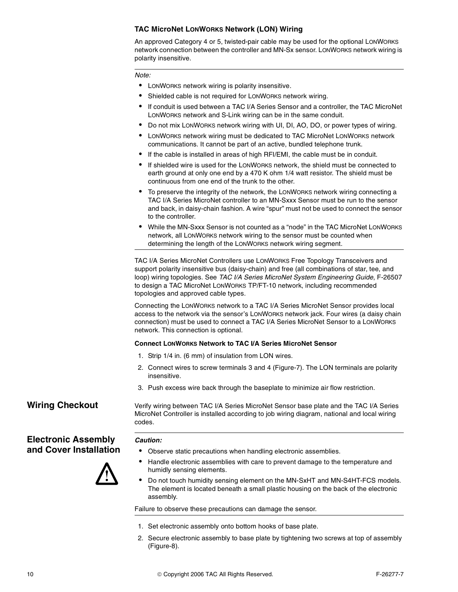### **TAC MicroNet LONWORKS Network (LON) Wiring**

An approved Category 4 or 5, twisted-pair cable may be used for the optional LONWORKS network connection between the controller and MN-Sx sensor. LONWORKS network wiring is polarity insensitive.

Note:

- LONWORKS network wiring is polarity insensitive.
- Shielded cable is not required for LONWORKS network wiring.
- If conduit is used between a TAC I/A Series Sensor and a controller, the TAC MicroNet LONWORKS network and S-Link wiring can be in the same conduit.
- Do not mix LONWORKS network wiring with UI, DI, AO, DO, or power types of wiring.
- LONWORKS network wiring must be dedicated to TAC MicroNet LONWORKS network communications. It cannot be part of an active, bundled telephone trunk.
- If the cable is installed in areas of high RFI/EMI, the cable must be in conduit.
- If shielded wire is used for the LONWORKS network, the shield must be connected to earth ground at only one end by a 470 K ohm 1/4 watt resistor. The shield must be continuous from one end of the trunk to the other.
- To preserve the integrity of the network, the LONWORKS network wiring connecting a TAC I/A Series MicroNet controller to an MN-Sxxx Sensor must be run to the sensor and back, in daisy-chain fashion. A wire "spur" must not be used to connect the sensor to the controller.
- While the MN-Sxxx Sensor is not counted as a "node" in the TAC MicroNet LONWORKS network, all LONWORKS network wiring to the sensor must be counted when determining the length of the LONWORKS network wiring segment.

TAC I/A Series MicroNet Controllers use LONWORKS Free Topology Transceivers and support polarity insensitive bus (daisy-chain) and free (all combinations of star, tee, and loop) wiring topologies. See TAC I/A Series MicroNet System Engineering Guide, F-26507 to design a TAC MicroNet LONWORKS TP/FT-10 network, including recommended topologies and approved cable types.

Connecting the LONWORKS network to a TAC I/A Series MicroNet Sensor provides local access to the network via the sensor's LONWORKS network jack. Four wires (a daisy chain connection) must be used to connect a TAC I/A Series MicroNet Sensor to a LONWORKS network. This connection is optional.

#### **Connect LONWORKS Network to TAC I/A Series MicroNet Sensor**

- 1. Strip 1/4 in. (6 mm) of insulation from LON wires.
- 2. Connect wires to screw terminals 3 and 4 (Figure-7). The LON terminals are polarity insensitive.
- 3. Push excess wire back through the baseplate to minimize air flow restriction.

# **Electronic Assembly and Cover Installation**



**Wiring Checkout** Verify wiring between TAC I/A Series MicroNet Sensor base plate and the TAC I/A Series MicroNet Controller is installed according to job wiring diagram, national and local wiring codes.

#### **Caution:**

- Observe static precautions when handling electronic assemblies.
- Handle electronic assemblies with care to prevent damage to the temperature and humidly sensing elements.
- Do not touch humidity sensing element on the MN-SxHT and MN-S4HT-FCS models. The element is located beneath a small plastic housing on the back of the electronic assembly.

Failure to observe these precautions can damage the sensor.

- 1. Set electronic assembly onto bottom hooks of base plate.
- 2. Secure electronic assembly to base plate by tightening two screws at top of assembly (Figure-8).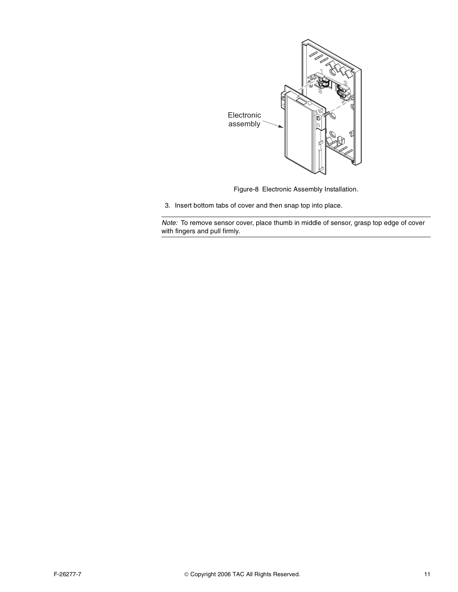

Figure-8 Electronic Assembly Installation.

3. Insert bottom tabs of cover and then snap top into place.

Note: To remove sensor cover, place thumb in middle of sensor, grasp top edge of cover with fingers and pull firmly.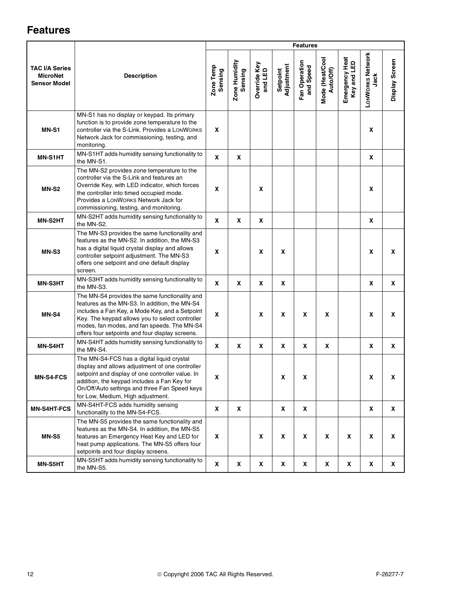# **Features**

|                                                                 |                                                                                                                                                                                                                                                                                                       | <b>Features</b> |                          |                         |                        |                            |                              |                               |                                 |                  |
|-----------------------------------------------------------------|-------------------------------------------------------------------------------------------------------------------------------------------------------------------------------------------------------------------------------------------------------------------------------------------------------|-----------------|--------------------------|-------------------------|------------------------|----------------------------|------------------------------|-------------------------------|---------------------------------|------------------|
| <b>TAC I/A Series</b><br><b>MicroNet</b><br><b>Sensor Model</b> | <b>Description</b>                                                                                                                                                                                                                                                                                    |                 | Zone Humidity<br>Sensing | Override Key<br>and LED | Adjustment<br>Setpoint | Fan Operation<br>and Speed | Mode (Heat/Cool<br>Auto/Off) | Emergency Heat<br>Key and LED | <b>LONWORKS Network</b><br>Jack | Display Screen   |
| <b>MN-S1</b>                                                    | MN-S1 has no display or keypad. Its primary<br>function is to provide zone temperature to the<br>controller via the S-Link. Provides a LONWORKS<br>Network Jack for commissioning, testing, and<br>monitoring.                                                                                        |                 |                          |                         |                        |                            |                              |                               | X                               |                  |
| <b>MN-S1HT</b>                                                  | MN-S1HT adds humidity sensing functionality to<br>the MN-S1.                                                                                                                                                                                                                                          | X               | Χ                        |                         |                        |                            |                              |                               | χ                               |                  |
| <b>MN-S2</b>                                                    | The MN-S2 provides zone temperature to the<br>controller via the S-Link and features an<br>Override Key, with LED indicator, which forces<br>the controller into timed occupied mode.<br>Provides a LONWORKS Network Jack for<br>commissioning, testing, and monitoring.                              |                 |                          | X                       |                        |                            |                              |                               | X                               |                  |
| <b>MN-S2HT</b>                                                  | MN-S2HT adds humidity sensing functionality to<br>the MN-S2.                                                                                                                                                                                                                                          |                 | Χ                        | X                       |                        |                            |                              |                               | χ                               |                  |
| MN-S3                                                           | The MN-S3 provides the same functionality and<br>features as the MN-S2. In addition, the MN-S3<br>has a digital liquid crystal display and allows<br>controller setpoint adjustment. The MN-S3<br>offers one setpoint and one default display<br>screen.                                              | X               |                          | $\pmb{\mathsf{x}}$      | X                      |                            |                              |                               | X                               | X                |
| MN-S3HT                                                         | MN-S3HT adds humidity sensing functionality to<br>the MN-S3.                                                                                                                                                                                                                                          | X               | Χ                        | X                       | Χ                      |                            |                              |                               | χ                               | X                |
| MN-S4                                                           | The MN-S4 provides the same functionality and<br>features as the MN-S3. In addition, the MN-S4<br>includes a Fan Key, a Mode Key, and a Setpoint<br>Key. The keypad allows you to select controller<br>modes, fan modes, and fan speeds. The MN-S4<br>offers four setpoints and four display screens. | X               |                          | X                       | X                      | X                          | X                            |                               | X                               | X                |
| <b>MN-S4HT</b>                                                  | MN-S4HT adds humidity sensing functionality to<br>the MN-S4.                                                                                                                                                                                                                                          | X               | Χ                        | χ                       | Χ                      | Χ                          | X                            |                               | χ                               | χ                |
| <b>MN-S4-FCS</b>                                                | The MN-S4-FCS has a digital liquid crystal<br>display and allows adjustment of one controller<br>setpoint and display of one controller value. In<br>addition, the keypad includes a Fan Key for<br>On/Off/Auto settings and three Fan Speed keys<br>for Low, Medium, High adjustment.                | X               |                          |                         | x                      | x                          |                              |                               | X                               | X                |
| MN-S4HT-FCS                                                     | MN-S4HT-FCS adds humidity sensing<br>functionality to the MN-S4-FCS.                                                                                                                                                                                                                                  | X               | X                        |                         | X                      | X                          |                              |                               | X                               | X                |
| <b>MN-S5</b>                                                    | The MN-S5 provides the same functionality and<br>features as the MN-S4. In addition, the MN-S5<br>features an Emergency Heat Key and LED for<br>heat pump applications. The MN-S5 offers four<br>setpoints and four display screens.                                                                  | X               |                          | X                       | X                      | X                          | $\pmb{\mathsf{X}}$           | X                             | X                               | $\boldsymbol{x}$ |
| MN-S5HT                                                         | MN-S5HT adds humidity sensing functionality to<br>the MN-S5.                                                                                                                                                                                                                                          | X               | X                        | $\pmb{\mathsf{x}}$      | X                      | X                          | X                            | X                             | X                               | X                |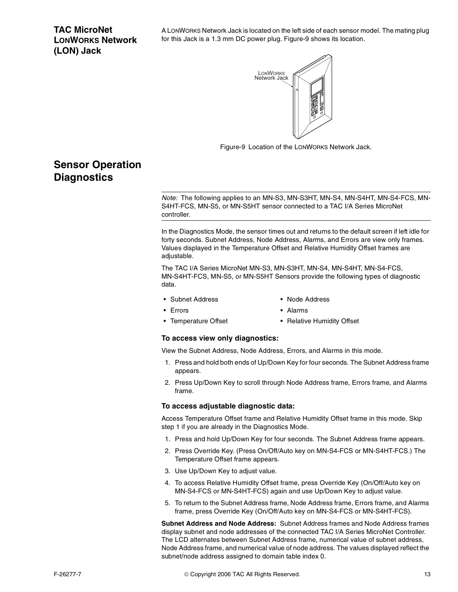# **TAC MicroNet LONWORKS Network (LON) Jack**

A LONWORKS Network Jack is located on the left side of each sensor model. The mating plug for this Jack is a 1.3 mm DC power plug. Figure-9 shows its location.



Figure-9 Location of the LONWORKS Network Jack.

# **Sensor Operation Diagnostics**

Note: The following applies to an MN-S3, MN-S3HT, MN-S4, MN-S4HT, MN-S4-FCS, MN-S4HT-FCS, MN-S5, or MN-S5HT sensor connected to a TAC I/A Series MicroNet controller.

In the Diagnostics Mode, the sensor times out and returns to the default screen if left idle for forty seconds. Subnet Address, Node Address, Alarms, and Errors are view only frames. Values displayed in the Temperature Offset and Relative Humidity Offset frames are adjustable.

The TAC I/A Series MicroNet MN-S3, MN-S3HT, MN-S4, MN-S4HT, MN-S4-FCS, MN-S4HT-FCS, MN-S5, or MN-S5HT Sensors provide the following types of diagnostic data.

- Subnet Address Node Address
- 

- 
- Frrors Alarms
- 
- Temperature Offset Relative Humidity Offset

#### **To access view only diagnostics:**

View the Subnet Address, Node Address, Errors, and Alarms in this mode.

- 1. Press and hold both ends of Up/Down Key for four seconds. The Subnet Address frame appears.
- 2. Press Up/Down Key to scroll through Node Address frame, Errors frame, and Alarms frame.

#### **To access adjustable diagnostic data:**

Access Temperature Offset frame and Relative Humidity Offset frame in this mode. Skip step 1 if you are already in the Diagnostics Mode.

- 1. Press and hold Up/Down Key for four seconds. The Subnet Address frame appears.
- 2. Press Override Key. (Press On/Off/Auto key on MN-S4-FCS or MN-S4HT-FCS.) The Temperature Offset frame appears.
- 3. Use Up/Down Key to adjust value.
- 4. To access Relative Humidity Offset frame, press Override Key (On/Off/Auto key on MN-S4-FCS or MN-S4HT-FCS) again and use Up/Down Key to adjust value.
- 5. To return to the Subnet Address frame, Node Address frame, Errors frame, and Alarms frame, press Override Key (On/Off/Auto key on MN-S4-FCS or MN-S4HT-FCS).

**Subnet Address and Node Address:** Subnet Address frames and Node Address frames display subnet and node addresses of the connected TAC I/A Series MicroNet Controller. The LCD alternates between Subnet Address frame, numerical value of subnet address, Node Address frame, and numerical value of node address. The values displayed reflect the subnet/node address assigned to domain table index 0.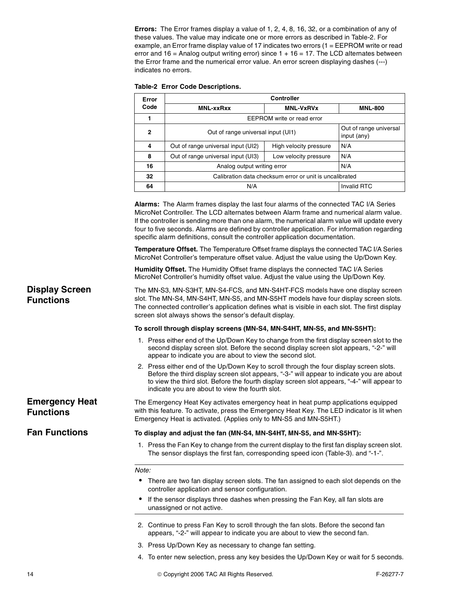**Errors:** The Error frames display a value of 1, 2, 4, 8, 16, 32, or a combination of any of these values. The value may indicate one or more errors as described in Table-2. For example, an Error frame display value of 17 indicates two errors (1 = EEPROM write or read error and  $16$  = Analog output writing error) since  $1 + 16 = 17$ . The LCD alternates between the Error frame and the numerical error value. An error screen displaying dashes (---) indicates no errors.

| Error        | Controller                                                                  |                |     |  |  |  |
|--------------|-----------------------------------------------------------------------------|----------------|-----|--|--|--|
| Code         | <b>MNL-xxRxx</b>                                                            | <b>MNL-800</b> |     |  |  |  |
|              | EEPROM write or read error                                                  |                |     |  |  |  |
| $\mathbf{2}$ | Out of range universal<br>Out of range universal input (UI1)<br>input (any) |                |     |  |  |  |
| 4            | Out of range universal input (UI2)<br>High velocity pressure                |                | N/A |  |  |  |
| 8            | Out of range universal input (UI3)                                          | N/A            |     |  |  |  |
| 16           | N/A<br>Analog output writing error                                          |                |     |  |  |  |
| 32           | Calibration data checksum error or unit is uncalibrated                     |                |     |  |  |  |
| 64           | <b>Invalid RTC</b><br>N/A                                                   |                |     |  |  |  |

**Alarms:** The Alarm frames display the last four alarms of the connected TAC I/A Series MicroNet Controller. The LCD alternates between Alarm frame and numerical alarm value. If the controller is sending more than one alarm, the numerical alarm value will update every four to five seconds. Alarms are defined by controller application. For information regarding specific alarm definitions, consult the controller application documentation.

**Temperature Offset.** The Temperature Offset frame displays the connected TAC I/A Series MicroNet Controller's temperature offset value. Adjust the value using the Up/Down Key.

**Humidity Offset.** The Humidity Offset frame displays the connected TAC I/A Series MicroNet Controller's humidity offset value. Adjust the value using the Up/Down Key.

**Display Screen Functions** The MN-S3, MN-S3HT, MN-S4-FCS, and MN-S4HT-FCS models have one display screen slot. The MN-S4, MN-S4HT, MN-S5, and MN-S5HT models have four display screen slots. The connected controller's application defines what is visible in each slot. The first display screen slot always shows the sensor's default display.

#### **To scroll through display screens (MN-S4, MN-S4HT, MN-S5, and MN-S5HT):**

- 1. Press either end of the Up/Down Key to change from the first display screen slot to the second display screen slot. Before the second display screen slot appears, "-2-" will appear to indicate you are about to view the second slot.
- 2. Press either end of the Up/Down Key to scroll through the four display screen slots. Before the third display screen slot appears, "-3-" will appear to indicate you are about to view the third slot. Before the fourth display screen slot appears, "-4-" will appear to indicate you are about to view the fourth slot.

The Emergency Heat Key activates emergency heat in heat pump applications equipped with this feature. To activate, press the Emergency Heat Key. The LED indicator is lit when Emergency Heat is activated. (Applies only to MN-S5 and MN-S5HT.)

**Functions**

**Emergency Heat** 

**Fan Functions To display and adjust the fan (MN-S4, MN-S4HT, MN-S5, and MN-S5HT):**

1. Press the Fan Key to change from the current display to the first fan display screen slot. The sensor displays the first fan, corresponding speed icon (Table-3). and "-1-".

Note:

- There are two fan display screen slots. The fan assigned to each slot depends on the controller application and sensor configuration.
- If the sensor displays three dashes when pressing the Fan Key, all fan slots are unassigned or not active.
- 2. Continue to press Fan Key to scroll through the fan slots. Before the second fan appears, "-2-" will appear to indicate you are about to view the second fan.
- 3. Press Up/Down Key as necessary to change fan setting.
- 4. To enter new selection, press any key besides the Up/Down Key or wait for 5 seconds.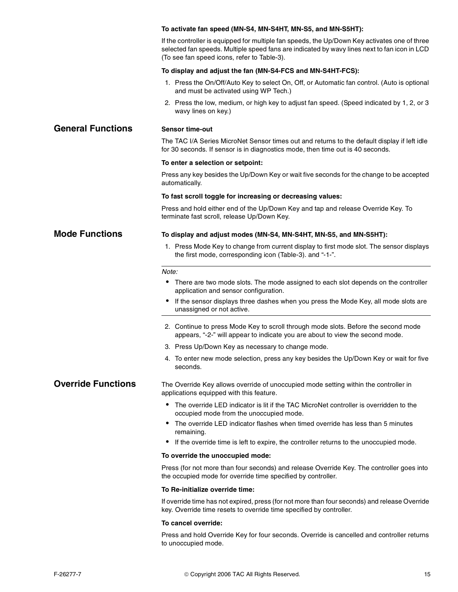|                           | To activate fan speed (MN-S4, MN-S4HT, MN-S5, and MN-S5HT):                                                                                                                                                                                  |
|---------------------------|----------------------------------------------------------------------------------------------------------------------------------------------------------------------------------------------------------------------------------------------|
|                           | If the controller is equipped for multiple fan speeds, the Up/Down Key activates one of three<br>selected fan speeds. Multiple speed fans are indicated by wavy lines next to fan icon in LCD<br>(To see fan speed icons, refer to Table-3). |
|                           | To display and adjust the fan (MN-S4-FCS and MN-S4HT-FCS):                                                                                                                                                                                   |
|                           | 1. Press the On/Off/Auto Key to select On, Off, or Automatic fan control. (Auto is optional<br>and must be activated using WP Tech.)                                                                                                         |
|                           | 2. Press the low, medium, or high key to adjust fan speed. (Speed indicated by 1, 2, or 3<br>wavy lines on key.)                                                                                                                             |
| <b>General Functions</b>  | <b>Sensor time-out</b>                                                                                                                                                                                                                       |
|                           | The TAC I/A Series MicroNet Sensor times out and returns to the default display if left idle<br>for 30 seconds. If sensor is in diagnostics mode, then time out is 40 seconds.                                                               |
|                           | To enter a selection or setpoint:                                                                                                                                                                                                            |
|                           | Press any key besides the Up/Down Key or wait five seconds for the change to be accepted<br>automatically.                                                                                                                                   |
|                           | To fast scroll toggle for increasing or decreasing values:                                                                                                                                                                                   |
|                           | Press and hold either end of the Up/Down Key and tap and release Override Key. To<br>terminate fast scroll, release Up/Down Key.                                                                                                             |
| <b>Mode Functions</b>     | To display and adjust modes (MN-S4, MN-S4HT, MN-S5, and MN-S5HT):                                                                                                                                                                            |
|                           | 1. Press Mode Key to change from current display to first mode slot. The sensor displays<br>the first mode, corresponding icon (Table-3). and "-1-".                                                                                         |
|                           | Note:                                                                                                                                                                                                                                        |
|                           | • There are two mode slots. The mode assigned to each slot depends on the controller<br>application and sensor configuration.                                                                                                                |
|                           | • If the sensor displays three dashes when you press the Mode Key, all mode slots are<br>unassigned or not active.                                                                                                                           |
|                           | 2. Continue to press Mode Key to scroll through mode slots. Before the second mode<br>appears, "-2-" will appear to indicate you are about to view the second mode.                                                                          |
|                           | 3. Press Up/Down Key as necessary to change mode.                                                                                                                                                                                            |
|                           | 4. To enter new mode selection, press any key besides the Up/Down Key or wait for five<br>seconds.                                                                                                                                           |
| <b>Override Functions</b> | The Override Key allows override of unoccupied mode setting within the controller in<br>applications equipped with this feature.                                                                                                             |
|                           | • The override LED indicator is lit if the TAC MicroNet controller is overridden to the<br>occupied mode from the unoccupied mode.                                                                                                           |
|                           | The override LED indicator flashes when timed override has less than 5 minutes<br>remaining.                                                                                                                                                 |
|                           | If the override time is left to expire, the controller returns to the unoccupied mode.<br>$\bullet$                                                                                                                                          |
|                           | To override the unoccupied mode:                                                                                                                                                                                                             |
|                           | Press (for not more than four seconds) and release Override Key. The controller goes into<br>the occupied mode for override time specified by controller.                                                                                    |
|                           | To Re-initialize override time:                                                                                                                                                                                                              |
|                           | If override time has not expired, press (for not more than four seconds) and release Override<br>key. Override time resets to override time specified by controller.                                                                         |
|                           | To cancel override:                                                                                                                                                                                                                          |
|                           | Press and hold Override Key for four seconds. Override is cancelled and controller returns<br>to unoccupied mode.                                                                                                                            |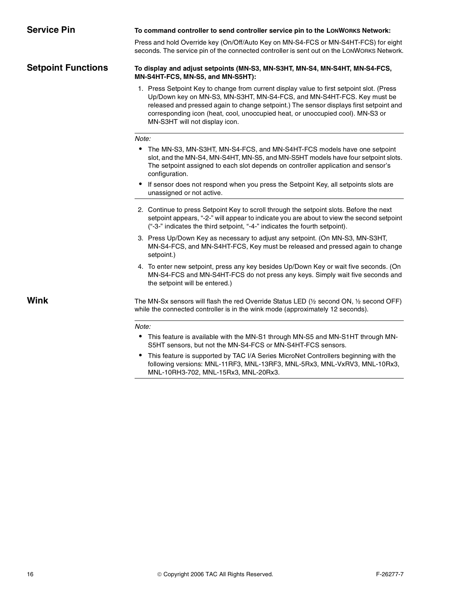| <b>Service Pin</b>        | To command controller to send controller service pin to the LONWORKS Network:                                                                                                                                                                                                                                                                                                     |
|---------------------------|-----------------------------------------------------------------------------------------------------------------------------------------------------------------------------------------------------------------------------------------------------------------------------------------------------------------------------------------------------------------------------------|
|                           | Press and hold Override key (On/Off/Auto Key on MN-S4-FCS or MN-S4HT-FCS) for eight<br>seconds. The service pin of the connected controller is sent out on the LONWORKS Network.                                                                                                                                                                                                  |
| <b>Setpoint Functions</b> | To display and adjust setpoints (MN-S3, MN-S3HT, MN-S4, MN-S4HT, MN-S4-FCS,<br>MN-S4HT-FCS, MN-S5, and MN-S5HT):                                                                                                                                                                                                                                                                  |
|                           | 1. Press Setpoint Key to change from current display value to first setpoint slot. (Press<br>Up/Down key on MN-S3, MN-S3HT, MN-S4-FCS, and MN-S4HT-FCS. Key must be<br>released and pressed again to change setpoint.) The sensor displays first setpoint and<br>corresponding icon (heat, cool, unoccupied heat, or unoccupied cool). MN-S3 or<br>MN-S3HT will not display icon. |
|                           | Note:                                                                                                                                                                                                                                                                                                                                                                             |
|                           | The MN-S3, MN-S3HT, MN-S4-FCS, and MN-S4HT-FCS models have one setpoint<br>٠<br>slot, and the MN-S4, MN-S4HT, MN-S5, and MN-S5HT models have four setpoint slots.<br>The setpoint assigned to each slot depends on controller application and sensor's<br>configuration.                                                                                                          |
|                           | If sensor does not respond when you press the Setpoint Key, all setpoints slots are<br>٠<br>unassigned or not active.                                                                                                                                                                                                                                                             |
|                           | 2. Continue to press Setpoint Key to scroll through the setpoint slots. Before the next<br>setpoint appears, "-2-" will appear to indicate you are about to view the second setpoint<br>("-3-" indicates the third setpoint, "-4-" indicates the fourth setpoint).                                                                                                                |
|                           | 3. Press Up/Down Key as necessary to adjust any setpoint. (On MN-S3, MN-S3HT,<br>MN-S4-FCS, and MN-S4HT-FCS, Key must be released and pressed again to change<br>setpoint.)                                                                                                                                                                                                       |
|                           | 4. To enter new setpoint, press any key besides Up/Down Key or wait five seconds. (On<br>MN-S4-FCS and MN-S4HT-FCS do not press any keys. Simply wait five seconds and<br>the setpoint will be entered.)                                                                                                                                                                          |
| <b>Wink</b>               | The MN-Sx sensors will flash the red Override Status LED (1/2 second ON, 1/2 second OFF)<br>while the connected controller is in the wink mode (approximately 12 seconds).                                                                                                                                                                                                        |
|                           | Note:                                                                                                                                                                                                                                                                                                                                                                             |
|                           | • This feature is available with the MN-S1 through MN-S5 and MN-S1HT through MN-<br>S5HT sensors, but not the MN-S4-FCS or MN-S4HT-FCS sensors.                                                                                                                                                                                                                                   |
|                           | This feature is supported by TAC I/A Series MicroNet Controllers beginning with the<br>٠<br>following versions: MNL-11RF3, MNL-13RF3, MNL-5Rx3, MNL-VxRV3, MNL-10Rx3,                                                                                                                                                                                                             |

MNL-10RH3-702, MNL-15Rx3, MNL-20Rx3.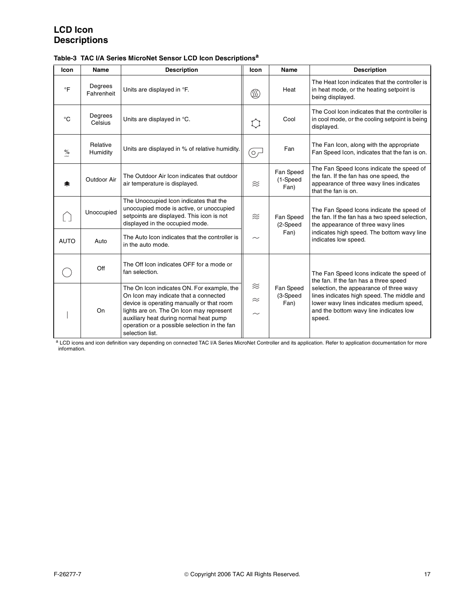# **LCD Icon Descriptions**

| <b>Icon</b>    | Name                  | <b>Description</b>                                                                                                                                                                                                                                                                        | Icon                             | <b>Name</b>                   | <b>Description</b>                                                                                                                                                                    |
|----------------|-----------------------|-------------------------------------------------------------------------------------------------------------------------------------------------------------------------------------------------------------------------------------------------------------------------------------------|----------------------------------|-------------------------------|---------------------------------------------------------------------------------------------------------------------------------------------------------------------------------------|
| $\circ$ F      | Degrees<br>Fahrenheit | Units are displayed in °F.                                                                                                                                                                                                                                                                | ⅏                                | Heat                          | The Heat Icon indicates that the controller is<br>in heat mode, or the heating setpoint is<br>being displayed.                                                                        |
| $^{\circ}C$    | Degrees<br>Celsius    | Units are displayed in °C.                                                                                                                                                                                                                                                                | 【 】                              | Cool                          | The Cool Icon indicates that the controller is<br>in cool mode, or the cooling setpoint is being<br>displayed.                                                                        |
| $\frac{9}{10}$ | Relative<br>Humidity  | Units are displayed in % of relative humidity.                                                                                                                                                                                                                                            | o,                               | Fan                           | The Fan Icon, along with the appropriate<br>Fan Speed Icon, indicates that the fan is on.                                                                                             |
| 軬              | Outdoor Air           | The Outdoor Air Icon indicates that outdoor<br>air temperature is displayed.                                                                                                                                                                                                              | $\approx$                        | Fan Speed<br>(1-Speed<br>Fan) | The Fan Speed Icons indicate the speed of<br>the fan. If the fan has one speed, the<br>appearance of three wavy lines indicates<br>that the fan is on.                                |
|                | Unoccupied            | The Unoccupied Icon indicates that the<br>unoccupied mode is active, or unoccupied<br>setpoints are displayed. This icon is not<br>displayed in the occupied mode.                                                                                                                        | $\approx$                        | Fan Speed<br>(2-Speed         | The Fan Speed Icons indicate the speed of<br>the fan. If the fan has a two speed selection,<br>the appearance of three wavy lines                                                     |
| <b>AUTO</b>    | Auto                  | The Auto Icon indicates that the controller is<br>in the auto mode.                                                                                                                                                                                                                       | $\sim$                           | Fan)                          | indicates high speed. The bottom wavy line<br>indicates low speed.                                                                                                                    |
|                | Off                   | The Off Icon indicates OFF for a mode or<br>fan selection.                                                                                                                                                                                                                                |                                  |                               | The Fan Speed Icons indicate the speed of<br>the fan. If the fan has a three speed                                                                                                    |
|                | On                    | The On Icon indicates ON. For example, the<br>On Icon may indicate that a connected<br>device is operating manually or that room<br>lights are on. The On Icon may represent<br>auxiliary heat during normal heat pump<br>operation or a possible selection in the fan<br>selection list. | $\approx$<br>$\approx$<br>$\sim$ | Fan Speed<br>(3-Speed<br>Fan) | selection, the appearance of three wavy<br>lines indicates high speed. The middle and<br>lower wavy lines indicates medium speed,<br>and the bottom wavy line indicates low<br>speed. |

| Table-3 TAC I/A Series MicroNet Sensor LCD Icon Descriptions <sup>a</sup> |  |
|---------------------------------------------------------------------------|--|
|---------------------------------------------------------------------------|--|

a LCD icons and icon definition vary depending on connected TAC I/A Series MicroNet Controller and its application. Refer to application documentation for more information.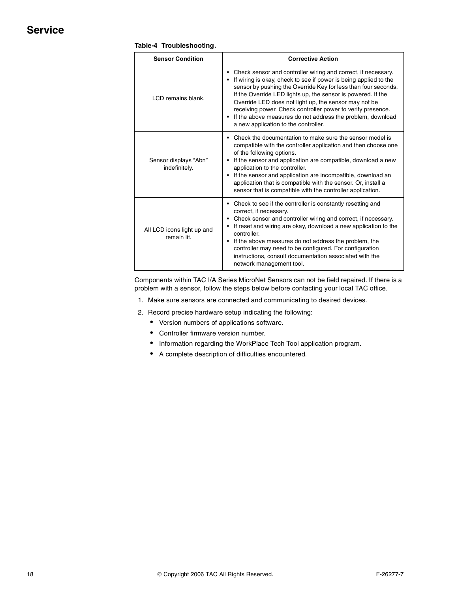# **Service**

| <b>Sensor Condition</b>                   | <b>Corrective Action</b>                                                                                                                                                                                                                                                                                                                                                                                                                                                                            |  |  |  |
|-------------------------------------------|-----------------------------------------------------------------------------------------------------------------------------------------------------------------------------------------------------------------------------------------------------------------------------------------------------------------------------------------------------------------------------------------------------------------------------------------------------------------------------------------------------|--|--|--|
| LCD remains blank.                        | Check sensor and controller wiring and correct, if necessary.<br>If wiring is okay, check to see if power is being applied to the<br>sensor by pushing the Override Key for less than four seconds.<br>If the Override LED lights up, the sensor is powered. If the<br>Override LED does not light up, the sensor may not be<br>receiving power. Check controller power to verify presence.<br>• If the above measures do not address the problem, download<br>a new application to the controller. |  |  |  |
| Sensor displays "Abn"<br>indefinitely.    | • Check the documentation to make sure the sensor model is<br>compatible with the controller application and then choose one<br>of the following options.<br>If the sensor and application are compatible, download a new<br>application to the controller.<br>If the sensor and application are incompatible, download an<br>application that is compatible with the sensor. Or, install a<br>sensor that is compatible with the controller application.                                           |  |  |  |
| All LCD icons light up and<br>remain lit. | • Check to see if the controller is constantly resetting and<br>correct, if necessary.<br>Check sensor and controller wiring and correct, if necessary.<br>If reset and wiring are okay, download a new application to the<br>controller.<br>• If the above measures do not address the problem, the<br>controller may need to be configured. For configuration<br>instructions, consult documentation associated with the<br>network management tool.                                              |  |  |  |

#### **Table-4 Troubleshooting**.

Components within TAC I/A Series MicroNet Sensors can not be field repaired. If there is a problem with a sensor, follow the steps below before contacting your local TAC office.

- 1. Make sure sensors are connected and communicating to desired devices.
- 2. Record precise hardware setup indicating the following:
	- Version numbers of applications software.
	- Controller firmware version number.
	- Information regarding the WorkPlace Tech Tool application program.
	- A complete description of difficulties encountered.